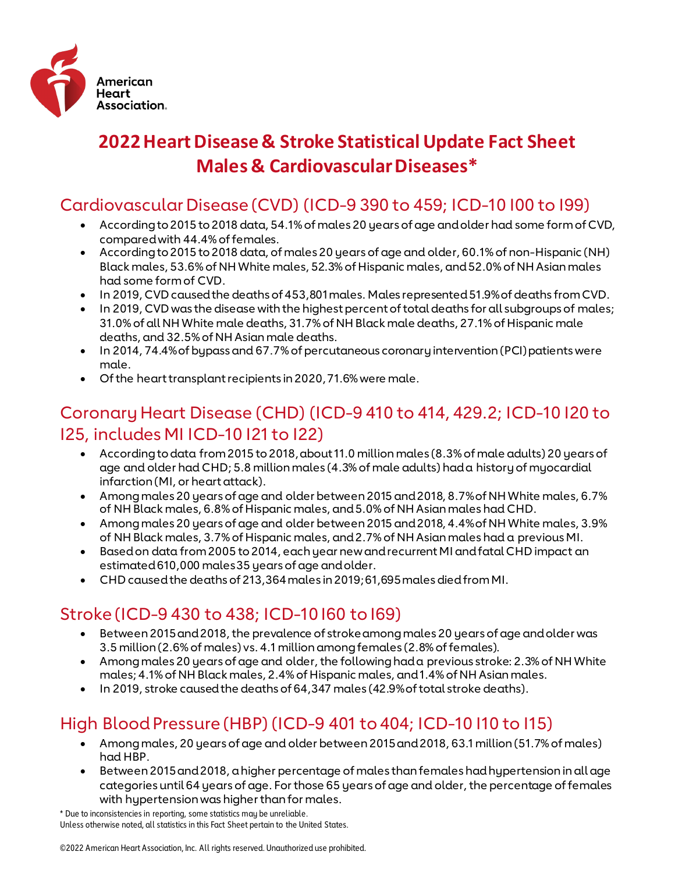

# **2022 Heart Disease & Stroke Statistical Update Fact Sheet Males & Cardiovascular Diseases\***

### Cardiovascular Disease (CVD) (ICD-9 390 to 459; ICD-10 I00 to I99)

- According to 2015 to 2018 data, 54.1% of males 20 years of age and older had some form of CVD, compared with 44.4% of females.
- According to 2015 to 2018 data, of males 20 years of age and older, 60.1% of non-Hispanic (NH) Black males, 53.6% of NH White males, 52.3% of Hispanic males, and 52.0% of NH Asian males had some form of CVD.
- In 2019, CVD caused the deaths of 453,801 males. Males represented 51.9% of deaths from CVD.
- In 2019, CVD was the disease with the highest percent of total deaths for all subgroups of males; 31.0% of all NH White male deaths, 31.7% of NH Black male deaths, 27.1% of Hispanic male deaths, and 32.5% of NH Asian male deaths.
- In 2014, 74.4% of bypass and 67.7% of percutaneous coronary intervention (PCI) patients were male.
- Of the heart transplant recipients in 2020, 71.6% were male.

#### Coronary Heart Disease (CHD) (ICD-9 410 to 414, 429.2; ICD-10 I20 to I25, includes MI ICD-10 I21 to I22)

- According to data from 2015 to 2018, about 11.0 million males (8.3% of male adults) 20 years of age and older had CHD; 5.8 million males (4.3% of male adults) had a history of myocardial infarction (MI, or heart attack).
- Among males 20 years of age and older between 2015 and 2018, 8.7% of NH White males, 6.7% of NH Black males, 6.8% of Hispanic males, and 5.0% of NH Asian males had CHD.
- Among males 20 years of age and older between 2015 and 2018, 4.4% of NH White males, 3.9% of NH Black males, 3.7% of Hispanic males, and 2.7% of NH Asian males had a previous MI.
- Based on data from 2005 to 2014, each year new and recurrent MI and fatal CHD impact an estimated 610,000 males 35 years of age and older.
- CHD caused the deaths of 213,364 males in 2019; 61,695 males died from MI.

# Stroke (ICD-9 430 to 438; ICD-10 I60 to I69)

- Between 2015 and 2018, the prevalence of stroke among males 20 years of age and older was 3.5 million (2.6% of males) vs. 4.1 million among females (2.8% of females).
- Among males 20 years of age and older, the following had a previous stroke: 2.3% of NH White males; 4.1% of NH Black males, 2.4% of Hispanic males, and 1.4% of NH Asian males.
- In 2019, stroke caused the deaths of 64,347 males (42.9% of total stroke deaths).

# High Blood Pressure (HBP) (ICD-9 401 to 404; ICD-10 I10 to I15)

- Among males, 20 years of age and older between 2015 and 2018, 63.1 million (51.7% of males) had HBP.
- Between 2015 and 2018, a higher percentage of males than females had hypertension in all age categories until 64 years of age. For those 65 years of age and older, the percentage of females with hypertension was higher than for males.

\* Due to inconsistencies in reporting, some statistics may be unreliable. Unless otherwise noted, all statistics in this Fact Sheet pertain to the United States.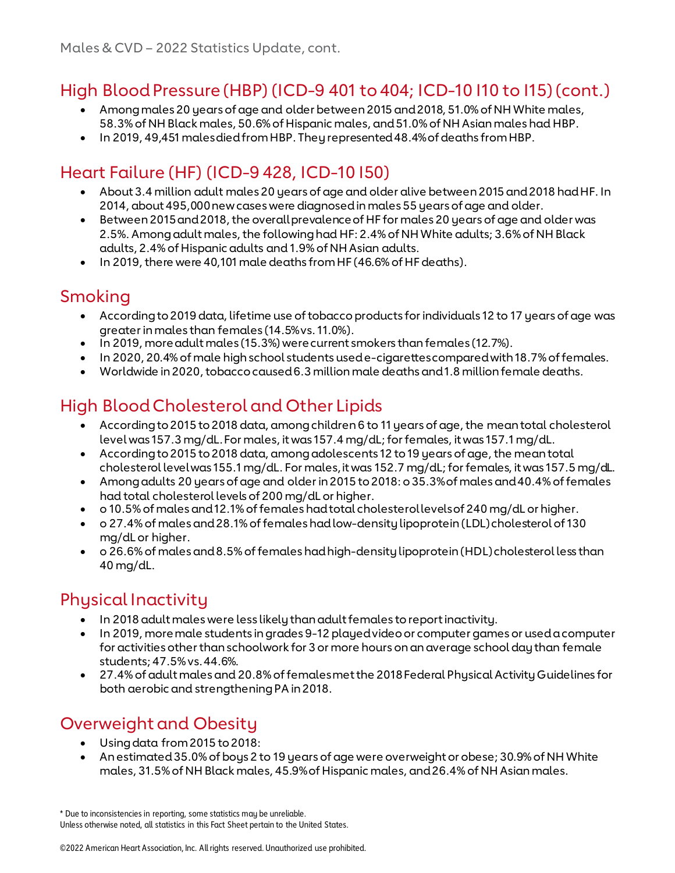#### High Blood Pressure (HBP) (ICD-9 401 to 404; ICD-10 I10 to I15)(cont.)

- Among males 20 years of age and older between 2015 and 2018, 51.0% of NH White males, 58.3% of NH Black males, 50.6% of Hispanic males, and 51.0% of NH Asian males had HBP.
- In 2019, 49,451 males died from HBP. They represented 48.4% of deaths from HBP.

# Heart Failure (HF) (ICD-9 428, ICD-10 I50)

- About 3.4 million adult males 20 years of age and older alive between 2015 and 2018 had HF. In 2014, about 495,000 new cases were diagnosed in males 55 years of age and older.
- Between 2015 and 2018, the overall prevalence of HF for males 20 years of age and older was 2.5%. Among adult males, the following had HF: 2.4% of NH White adults; 3.6% of NH Black adults, 2.4% of Hispanic adults and 1.9% of NH Asian adults.
- In 2019, there were 40,101 male deaths from HF (46.6% of HF deaths).

#### Smoking

- According to 2019 data, lifetime use of tobacco products for individuals 12 to 17 years of age was greater in males than females (14.5% vs. 11.0%).
- In 2019, more adult males (15.3%) were current smokers than females (12.7%).
- In 2020, 20.4% of male high school students used e-cigarettes compared with 18.7% of females.
- Worldwide in 2020, tobacco caused 6.3 million male deaths and 1.8 million female deaths.

# High Blood Cholesterol and Other Lipids

- According to 2015 to 2018 data, among children 6 to 11 years of age, the mean total cholesterol level was 157.3 mg/dL. For males, it was 157.4 mg/dL; for females, it was 157.1 mg/dL.
- According to 2015 to 2018 data, among adolescents 12 to 19 years of age, the mean total cholesterol level was 155.1 mg/dL. For males, it was 152.7 mg/dL; for females, it was 157.5 mg/dL.
- Among adults 20 years of age and older in 2015 to 2018: o 35.3% of males and 40.4% of females had total cholesterol levels of 200 mg/dL or higher.
- o 10.5% of males and 12.1% of females had total cholesterol levels of 240 mg/dL or higher.
- o 27.4% of males and 28.1% of females had low-density lipoprotein (LDL) cholesterol of 130 mg/dL or higher.
- o 26.6% of males and 8.5% of females had high-density lipoprotein (HDL) cholesterol less than 40 mg/dL.

#### Physical Inactivity

- In 2018 adult males were less likely than adult females to report inactivity.
- In 2019, more male students in grades 9-12 played video or computer games or used a computer for activities other than schoolwork for 3 or more hours on an average school day than female students; 47.5% vs. 44.6%.
- 27.4% of adult males and 20.8% of females met the 2018 Federal Physical Activity Guidelines for both aerobic and strengthening PA in 2018.

# Overweight and Obesity

- Using data from 2015 to 2018:
- An estimated 35.0% of boys 2 to 19 years of age were overweight or obese; 30.9% of NH White males, 31.5% of NH Black males, 45.9% of Hispanic males, and 26.4% of NH Asian males.

<sup>\*</sup> Due to inconsistencies in reporting, some statistics may be unreliable. Unless otherwise noted, all statistics in this Fact Sheet pertain to the United States.